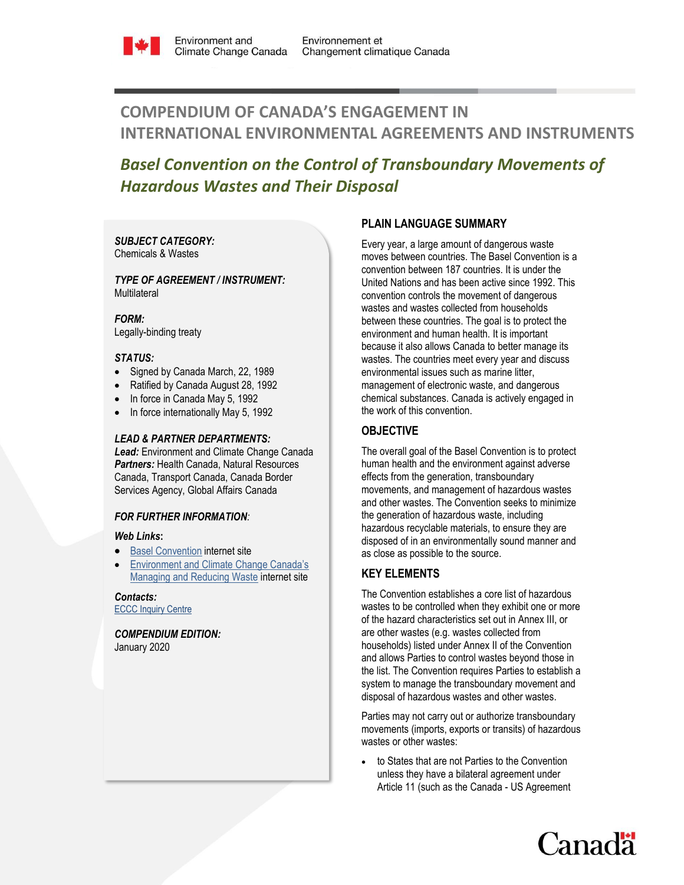

# **COMPENDIUM OF CANADA'S ENGAGEMENT IN INTERNATIONAL ENVIRONMENTAL AGREEMENTS AND INSTRUMENTS**

# *Basel Convention on the Control of Transboundary Movements of Hazardous Wastes and Their Disposal*

### *SUBJECT CATEGORY:*  Chemicals & Wastes

### *TYPE OF AGREEMENT / INSTRUMENT:*  **Multilateral**

*FORM:* Legally-binding treaty

### *STATUS:*

- Signed by Canada March, 22, 1989
- Ratified by Canada August 28, 1992
- In force in Canada May 5, 1992
- In force internationally May 5, 1992

## *LEAD & PARTNER DEPARTMENTS:*

*Lead:* Environment and Climate Change Canada *Partners:* Health Canada, Natural Resources Canada, Transport Canada, Canada Border Services Agency, Global Affairs Canada

### *FOR FURTHER INFORMATION:*

## *Web Links***:**

- [Basel Convention](http://www.basel.int/) internet site
- [Environment and Climate Change Canada's](https://www.canada.ca/en/services/environment/pollution-waste-management/managing-reducing-waste.html)  [Managing and Reducing Waste](https://www.canada.ca/en/services/environment/pollution-waste-management/managing-reducing-waste.html) internet site

*Contacts:* [ECCC Inquiry Centre](https://www.ec.gc.ca/default.asp?lang=En&n=DA294545-1)

*COMPENDIUM EDITION:*  January 2020

# **PLAIN LANGUAGE SUMMARY**

Every year, a large amount of dangerous waste moves between countries. The Basel Convention is a convention between 187 countries. It is under the United Nations and has been active since 1992. This convention controls the movement of dangerous wastes and wastes collected from households between these countries. The goal is to protect the environment and human health. It is important because it also allows Canada to better manage its wastes. The countries meet every year and discuss environmental issues such as marine litter, management of electronic waste, and dangerous chemical substances. Canada is actively engaged in the work of this convention.

# **OBJECTIVE**

The overall goal of the Basel Convention is to protect human health and the environment against adverse effects from the generation, transboundary movements, and management of hazardous wastes and other wastes. The Convention seeks to minimize the generation of hazardous waste, including hazardous recyclable materials, to ensure they are disposed of in an environmentally sound manner and as close as possible to the source.

## **KEY ELEMENTS**

The Convention establishes a core list of hazardous wastes to be controlled when they exhibit one or more of the hazard characteristics set out in Annex III, or are other wastes (e.g. wastes collected from households) listed under Annex II of the Convention and allows Parties to control wastes beyond those in the list. The Convention requires Parties to establish a system to manage the transboundary movement and disposal of hazardous wastes and other wastes.

Parties may not carry out or authorize transboundary movements (imports, exports or transits) of hazardous wastes or other wastes:

 to States that are not Parties to the Convention unless they have a bilateral agreement under Article 11 (such as the Canada - US Agreement

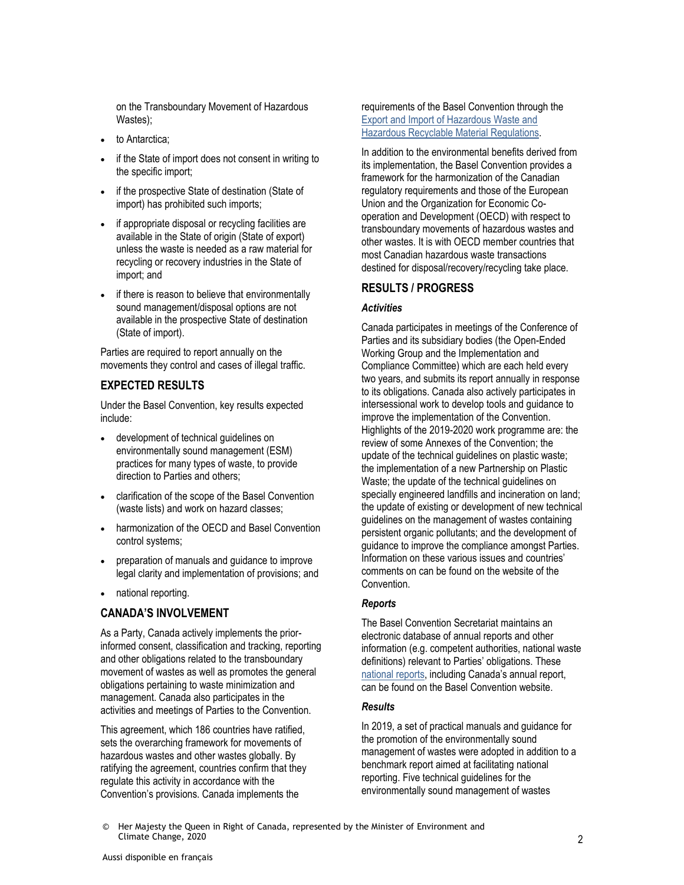on the Transboundary Movement of Hazardous Wastes);

- to Antarctica;
- if the State of import does not consent in writing to the specific import;
- if the prospective State of destination (State of import) has prohibited such imports;
- if appropriate disposal or recycling facilities are available in the State of origin (State of export) unless the waste is needed as a raw material for recycling or recovery industries in the State of import; and
- if there is reason to believe that environmentally sound management/disposal options are not available in the prospective State of destination (State of import).

Parties are required to report annually on the movements they control and cases of illegal traffic.

## **EXPECTED RESULTS**

Under the Basel Convention, key results expected include:

- development of technical guidelines on environmentally sound management (ESM) practices for many types of waste, to provide direction to Parties and others;
- clarification of the scope of the Basel Convention (waste lists) and work on hazard classes;
- harmonization of the OECD and Basel Convention control systems;
- preparation of manuals and guidance to improve legal clarity and implementation of provisions; and
- national reporting.

# **CANADA'S INVOLVEMENT**

As a Party, Canada actively implements the priorinformed consent, classification and tracking, reporting and other obligations related to the transboundary movement of wastes as well as promotes the general obligations pertaining to waste minimization and management. Canada also participates in the activities and meetings of Parties to the Convention.

This agreement, which 186 countries have ratified, sets the overarching framework for movements of hazardous wastes and other wastes globally. By ratifying the agreement, countries confirm that they regulate this activity in accordance with the Convention's provisions. Canada implements the

requirements of the Basel Convention through the [Export and Import of Hazardous Waste and](https://laws-lois.justice.gc.ca/eng/regulations/SOR-2005-149/)  [Hazardous Recyclable Material Regulations.](https://laws-lois.justice.gc.ca/eng/regulations/SOR-2005-149/)

In addition to the environmental benefits derived from its implementation, the Basel Convention provides a framework for the harmonization of the Canadian regulatory requirements and those of the European Union and the Organization for Economic Cooperation and Development (OECD) with respect to transboundary movements of hazardous wastes and other wastes. It is with OECD member countries that most Canadian hazardous waste transactions destined for disposal/recovery/recycling take place.

# **RESULTS / PROGRESS**

### *Activities*

Canada participates in meetings of the Conference of Parties and its subsidiary bodies (the Open-Ended Working Group and the Implementation and Compliance Committee) which are each held every two years, and submits its report annually in response to its obligations. Canada also actively participates in intersessional work to develop tools and guidance to improve the implementation of the Convention. Highlights of the 2019-2020 work programme are: the review of some Annexes of the Convention; the update of the technical guidelines on plastic waste; the implementation of a new Partnership on Plastic Waste; the update of the technical quidelines on specially engineered landfills and incineration on land; the update of existing or development of new technical guidelines on the management of wastes containing persistent organic pollutants; and the development of guidance to improve the compliance amongst Parties. Information on these various issues and countries' comments on can be found on the website of the Convention.

## *Reports*

The Basel Convention Secretariat maintains an electronic database of annual reports and other information (e.g. competent authorities, national waste definitions) relevant to Parties' obligations. These [national reports](http://www.basel.int/Countries/NationalReporting/ElectronicReportingSystem/tabid/3356/Default.aspx), including Canada's annual report, can be found on the Basel Convention website.

### *Results*

In 2019, a set of practical manuals and guidance for the promotion of the environmentally sound management of wastes were adopted in addition to a benchmark report aimed at facilitating national reporting. Five technical guidelines for the environmentally sound management of wastes

© Her Majesty the Queen in Right of Canada, represented by the Minister of Environment and Climate Change, 2020